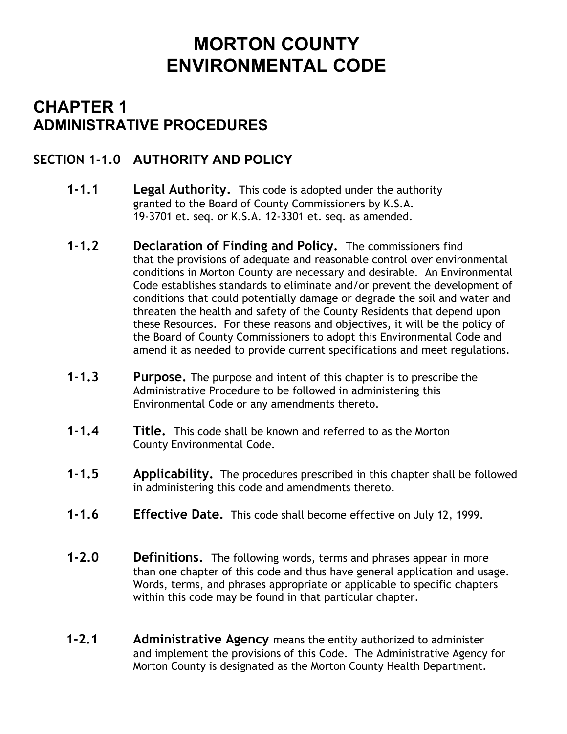# **MORTON COUNTY ENVIRONMENTAL CODE**

## **CHAPTER 1 ADMINISTRATIVE PROCEDURES**

### **SECTION 1-1.0 AUTHORITY AND POLICY**

- **1-1.1 Legal Authority.** This code is adopted under the authority granted to the Board of County Commissioners by K.S.A. 19-3701 et. seq. or K.S.A. 12-3301 et. seq. as amended.
- **1-1.2 Declaration of Finding and Policy.** The commissioners find that the provisions of adequate and reasonable control over environmental conditions in Morton County are necessary and desirable. An Environmental Code establishes standards to eliminate and/or prevent the development of conditions that could potentially damage or degrade the soil and water and threaten the health and safety of the County Residents that depend upon these Resources. For these reasons and objectives, it will be the policy of the Board of County Commissioners to adopt this Environmental Code and amend it as needed to provide current specifications and meet regulations.
- **1-1.3 Purpose.** The purpose and intent of this chapter is to prescribe the Administrative Procedure to be followed in administering this Environmental Code or any amendments thereto.
- **1-1.4 Title.** This code shall be known and referred to as the Morton County Environmental Code.
- **1-1.5 Applicability.** The procedures prescribed in this chapter shall be followed in administering this code and amendments thereto.
- **1-1.6 Effective Date.** This code shall become effective on July 12, 1999.
- **1-2.0 Definitions.** The following words, terms and phrases appear in more than one chapter of this code and thus have general application and usage. Words, terms, and phrases appropriate or applicable to specific chapters within this code may be found in that particular chapter.
- **1-2.1 Administrative Agency** means the entity authorized to administer and implement the provisions of this Code. The Administrative Agency for Morton County is designated as the Morton County Health Department.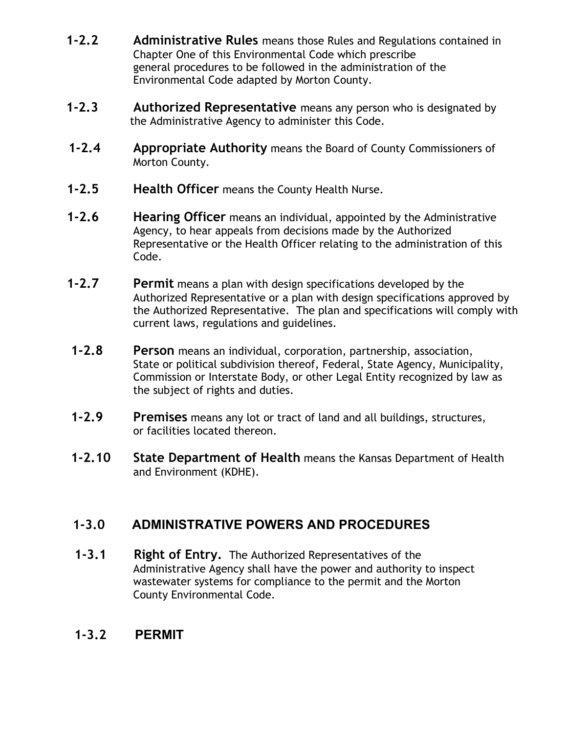- **1-2.2 Administrative Rules** means those Rules and Regulations contained in Chapter One of this Environmental Code which prescribe general procedures to be followed in the administration of the Environmental Code adapted by Morton County.
- **1-2.3 Authorized Representative** means any person who is designated by the Administrative Agency to administer this Code.
- **1-2.4 Appropriate Authority** means the Board of County Commissioners of Morton County.
- **1-2.5 Health Officer** means the County Health Nurse.
- **1-2.6 Hearing Officer** means an individual, appointed by the Administrative Agency, to hear appeals from decisions made by the Authorized Representative or the Health Officer relating to the administration of this Code.
- **1-2.7 Permit** means a plan with design specifications developed by the Authorized Representative or a plan with design specifications approved by the Authorized Representative. The plan and specifications will comply with current laws, regulations and guidelines.
- **1-2.8 Person** means an individual, corporation, partnership, association, State or political subdivision thereof, Federal, State Agency, Municipality, Commission or Interstate Body, or other Legal Entity recognized by law as the subject of rights and duties.
- **1-2.9 Premises** means any lot or tract of land and all buildings, structures, or facilities located thereon.
- **1-2.10 State Department of Health** means the Kansas Department of Health and Environment (KDHE).

## **1-3.0 ADMINISTRATIVE POWERS AND PROCEDURES**

**1-3.1** Right of Entry. The Authorized Representatives of the Administrative Agency shall have the power and authority to inspect wastewater systems for compliance to the permit and the Morton County Environmental Code.

#### **1-3.2 PERMIT**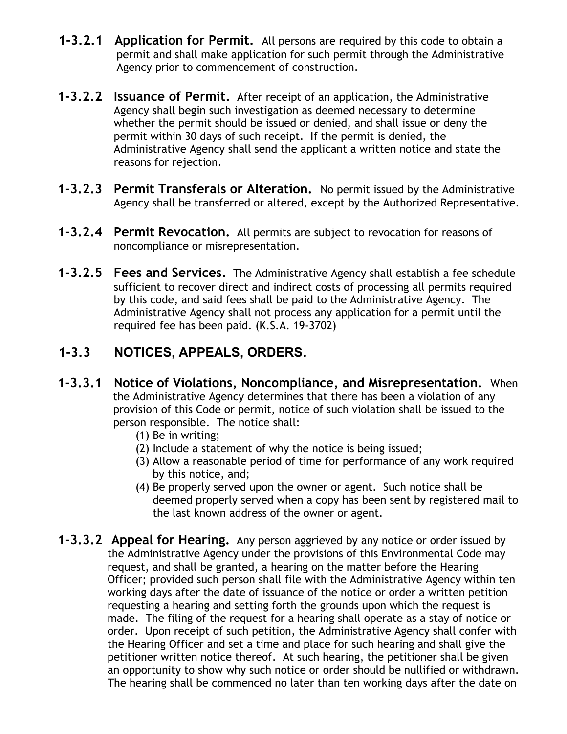- **1-3.2.1 Application for Permit.** All persons are required by this code to obtain a permit and shall make application for such permit through the Administrative Agency prior to commencement of construction.
- **1-3.2.2 Issuance of Permit.** After receipt of an application, the Administrative Agency shall begin such investigation as deemed necessary to determine whether the permit should be issued or denied, and shall issue or deny the permit within 30 days of such receipt. If the permit is denied, the Administrative Agency shall send the applicant a written notice and state the reasons for rejection.
- **1-3.2.3 Permit Transferals or Alteration.** No permit issued by the Administrative Agency shall be transferred or altered, except by the Authorized Representative.
- **1-3.2.4 Permit Revocation.** All permits are subject to revocation for reasons of noncompliance or misrepresentation.
- **1-3.2.5 Fees and Services.** The Administrative Agency shall establish a fee schedule sufficient to recover direct and indirect costs of processing all permits required by this code, and said fees shall be paid to the Administrative Agency. The Administrative Agency shall not process any application for a permit until the required fee has been paid. (K.S.A. 19-3702)

### **1-3.3 NOTICES, APPEALS, ORDERS.**

- **1-3.3.1 Notice of Violations, Noncompliance, and Misrepresentation.** When the Administrative Agency determines that there has been a violation of any provision of this Code or permit, notice of such violation shall be issued to the person responsible. The notice shall:
	- (1) Be in writing;
	- (2) Include a statement of why the notice is being issued;
	- (3) Allow a reasonable period of time for performance of any work required by this notice, and;
	- (4) Be properly served upon the owner or agent. Such notice shall be deemed properly served when a copy has been sent by registered mail to the last known address of the owner or agent.
- **1-3.3.2 Appeal for Hearing.** Any person aggrieved by any notice or order issued by the Administrative Agency under the provisions of this Environmental Code may request, and shall be granted, a hearing on the matter before the Hearing Officer; provided such person shall file with the Administrative Agency within ten working days after the date of issuance of the notice or order a written petition requesting a hearing and setting forth the grounds upon which the request is made. The filing of the request for a hearing shall operate as a stay of notice or order. Upon receipt of such petition, the Administrative Agency shall confer with the Hearing Officer and set a time and place for such hearing and shall give the petitioner written notice thereof. At such hearing, the petitioner shall be given an opportunity to show why such notice or order should be nullified or withdrawn. The hearing shall be commenced no later than ten working days after the date on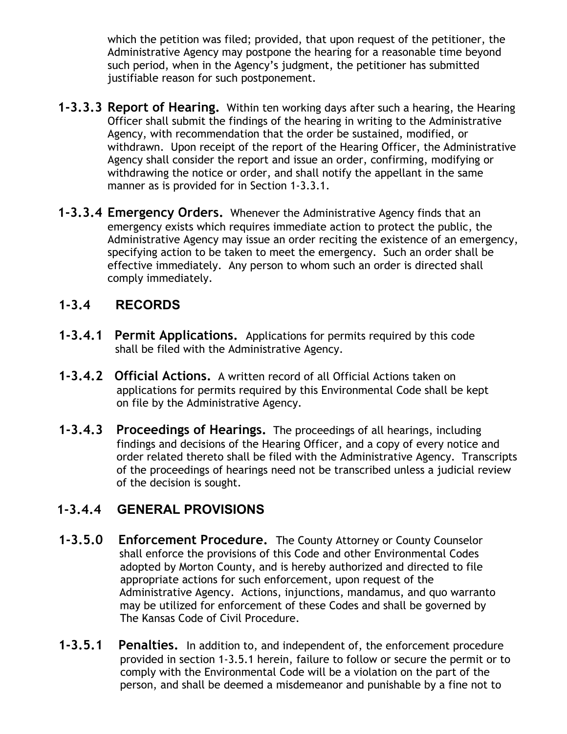which the petition was filed; provided, that upon request of the petitioner, the Administrative Agency may postpone the hearing for a reasonable time beyond such period, when in the Agency's judgment, the petitioner has submitted justifiable reason for such postponement.

- **1-3.3.3 Report of Hearing.** Within ten working days after such a hearing, the Hearing Officer shall submit the findings of the hearing in writing to the Administrative Agency, with recommendation that the order be sustained, modified, or withdrawn. Upon receipt of the report of the Hearing Officer, the Administrative Agency shall consider the report and issue an order, confirming, modifying or withdrawing the notice or order, and shall notify the appellant in the same manner as is provided for in Section 1-3.3.1.
- **1-3.3.4 Emergency Orders.** Whenever the Administrative Agency finds that an emergency exists which requires immediate action to protect the public, the Administrative Agency may issue an order reciting the existence of an emergency, specifying action to be taken to meet the emergency. Such an order shall be effective immediately. Any person to whom such an order is directed shall comply immediately.

#### **1-3.4 RECORDS**

- **1-3.4.1 Permit Applications.** Applications for permits required by this code shall be filed with the Administrative Agency.
- **1-3.4.2 Official Actions.** A written record of all Official Actions taken on applications for permits required by this Environmental Code shall be kept on file by the Administrative Agency.
- **1-3.4.3 Proceedings of Hearings.** The proceedings of all hearings, including findings and decisions of the Hearing Officer, and a copy of every notice and order related thereto shall be filed with the Administrative Agency. Transcripts of the proceedings of hearings need not be transcribed unless a judicial review of the decision is sought.

#### **1-3.4.4 GENERAL PROVISIONS**

- **1-3.5.0 Enforcement Procedure.** The County Attorney or County Counselor shall enforce the provisions of this Code and other Environmental Codes adopted by Morton County, and is hereby authorized and directed to file appropriate actions for such enforcement, upon request of the Administrative Agency. Actions, injunctions, mandamus, and quo warranto may be utilized for enforcement of these Codes and shall be governed by The Kansas Code of Civil Procedure.
- **1-3.5.1 Penalties.** In addition to, and independent of, the enforcement procedure provided in section 1-3.5.1 herein, failure to follow or secure the permit or to comply with the Environmental Code will be a violation on the part of the person, and shall be deemed a misdemeanor and punishable by a fine not to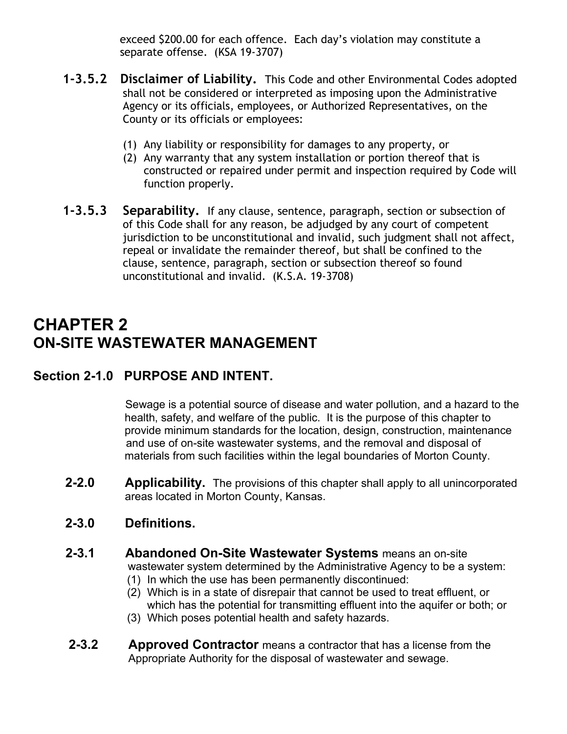exceed \$200.00 for each offence. Each day's violation may constitute a separate offense. (KSA 19-3707)

- **1-3.5.2 Disclaimer of Liability.** This Code and other Environmental Codes adopted shall not be considered or interpreted as imposing upon the Administrative Agency or its officials, employees, or Authorized Representatives, on the County or its officials or employees:
	- (1) Any liability or responsibility for damages to any property, or
	- (2) Any warranty that any system installation or portion thereof that is constructed or repaired under permit and inspection required by Code will function properly.
- **1-3.5.3 Separability.** If any clause, sentence, paragraph, section or subsection of of this Code shall for any reason, be adjudged by any court of competent jurisdiction to be unconstitutional and invalid, such judgment shall not affect, repeal or invalidate the remainder thereof, but shall be confined to the clause, sentence, paragraph, section or subsection thereof so found unconstitutional and invalid. (K.S.A. 19-3708)

## **CHAPTER 2 ON-SITE WASTEWATER MANAGEMENT**

#### **Section 2-1.0 PURPOSE AND INTENT.**

Sewage is a potential source of disease and water pollution, and a hazard to the health, safety, and welfare of the public. It is the purpose of this chapter to provide minimum standards for the location, design, construction, maintenance and use of on-site wastewater systems, and the removal and disposal of materials from such facilities within the legal boundaries of Morton County.

**2-2.0 Applicability.** The provisions of this chapter shall apply to all unincorporated areas located in Morton County, Kansas.

#### **2-3.0 Definitions.**

- **2-3.1** Abandoned On-Site Wastewater Systems means an on-site wastewater system determined by the Administrative Agency to be a system:
	- (1) In which the use has been permanently discontinued:
	- (2) Which is in a state of disrepair that cannot be used to treat effluent, or which has the potential for transmitting effluent into the aquifer or both; or
	- (3) Which poses potential health and safety hazards.
- **2-3.2 Approved Contractor** means a contractor that has a license from the Appropriate Authority for the disposal of wastewater and sewage.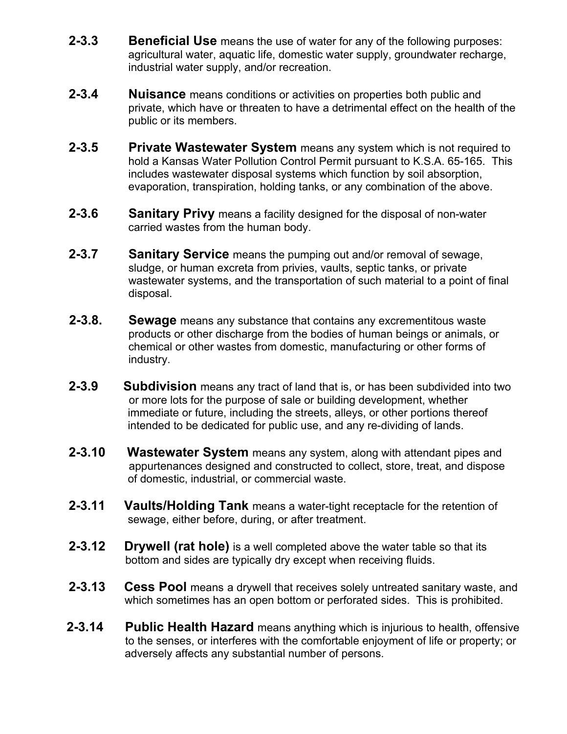- **2-3.3 Beneficial Use** means the use of water for any of the following purposes: agricultural water, aquatic life, domestic water supply, groundwater recharge, industrial water supply, and/or recreation.
- **2-3.4 Nuisance** means conditions or activities on properties both public and private, which have or threaten to have a detrimental effect on the health of the public or its members.
- **2-3.5 Private Wastewater System** means any system which is not required to hold a Kansas Water Pollution Control Permit pursuant to K.S.A. 65-165. This includes wastewater disposal systems which function by soil absorption, evaporation, transpiration, holding tanks, or any combination of the above.
- **2-3.6 Sanitary Privy** means a facility designed for the disposal of non-water carried wastes from the human body.
- **2-3.7 Sanitary Service** means the pumping out and/or removal of sewage, sludge, or human excreta from privies, vaults, septic tanks, or private wastewater systems, and the transportation of such material to a point of final disposal.
- **2-3.8. Sewage** means any substance that contains any excrementitous waste products or other discharge from the bodies of human beings or animals, or chemical or other wastes from domestic, manufacturing or other forms of industry.
- **2-3.9 Subdivision** means any tract of land that is, or has been subdivided into two or more lots for the purpose of sale or building development, whether immediate or future, including the streets, alleys, or other portions thereof intended to be dedicated for public use, and any re-dividing of lands.
- **2-3.10 Wastewater System** means any system, along with attendant pipes and appurtenances designed and constructed to collect, store, treat, and dispose of domestic, industrial, or commercial waste.
- **2-3.11 Vaults/Holding Tank** means a water-tight receptacle for the retention of sewage, either before, during, or after treatment.
- **2-3.12 Drywell (rat hole)** is a well completed above the water table so that its bottom and sides are typically dry except when receiving fluids.
- **2-3.13 Cess Pool** means a drywell that receives solely untreated sanitary waste, and which sometimes has an open bottom or perforated sides. This is prohibited.
- **2-3.14 Public Health Hazard** means anything which is injurious to health, offensive to the senses, or interferes with the comfortable enjoyment of life or property; or adversely affects any substantial number of persons.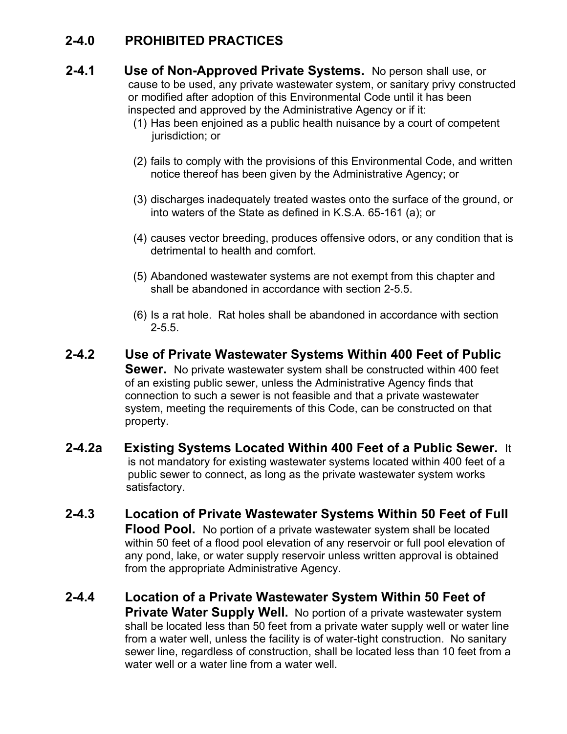#### **2-4.0 PROHIBITED PRACTICES**

- **2-4.1 Use of Non-Approved Private Systems.** No person shall use, or cause to be used, any private wastewater system, or sanitary privy constructed or modified after adoption of this Environmental Code until it has been inspected and approved by the Administrative Agency or if it:
	- (1) Has been enjoined as a public health nuisance by a court of competent jurisdiction; or
	- (2) fails to comply with the provisions of this Environmental Code, and written notice thereof has been given by the Administrative Agency; or
	- (3) discharges inadequately treated wastes onto the surface of the ground, or into waters of the State as defined in K.S.A. 65-161 (a); or
	- (4) causes vector breeding, produces offensive odors, or any condition that is detrimental to health and comfort.
	- (5) Abandoned wastewater systems are not exempt from this chapter and shall be abandoned in accordance with section 2-5.5.
	- (6) Is a rat hole. Rat holes shall be abandoned in accordance with section  $2 - 5.5.$
- **2-4.2 Use of Private Wastewater Systems Within 400 Feet of Public Sewer.** No private wastewater system shall be constructed within 400 feet of an existing public sewer, unless the Administrative Agency finds that connection to such a sewer is not feasible and that a private wastewater system, meeting the requirements of this Code, can be constructed on that property.
- **2-4.2a Existing Systems Located Within 400 Feet of a Public Sewer.** It is not mandatory for existing wastewater systems located within 400 feet of a public sewer to connect, as long as the private wastewater system works satisfactory.
- **2-4.3 Location of Private Wastewater Systems Within 50 Feet of Full Flood Pool.** No portion of a private wastewater system shall be located within 50 feet of a flood pool elevation of any reservoir or full pool elevation of any pond, lake, or water supply reservoir unless written approval is obtained from the appropriate Administrative Agency.
- **2-4.4 Location of a Private Wastewater System Within 50 Feet of Private Water Supply Well.** No portion of a private wastewater system shall be located less than 50 feet from a private water supply well or water line from a water well, unless the facility is of water-tight construction. No sanitary sewer line, regardless of construction, shall be located less than 10 feet from a water well or a water line from a water well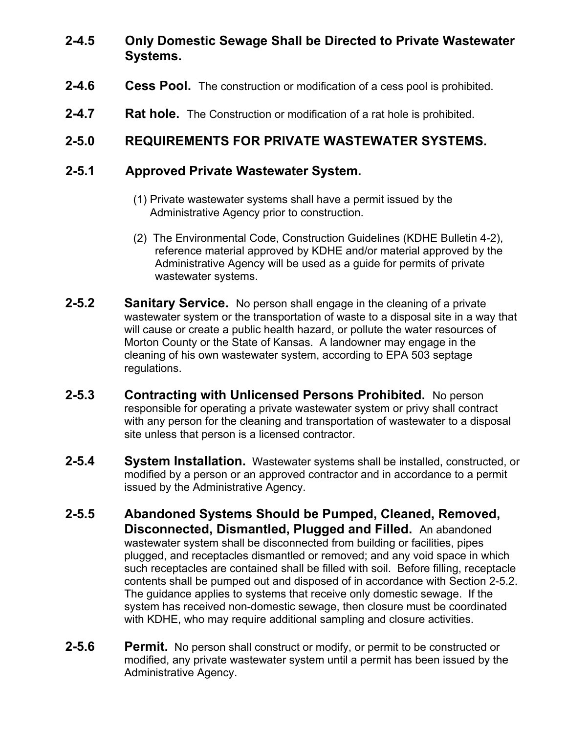#### **2-4.5 Only Domestic Sewage Shall be Directed to Private Wastewater Systems.**

- **2-4.6 Cess Pool.** The construction or modification of a cess pool is prohibited.
- **2-4.7 Rat hole.** The Construction or modification of a rat hole is prohibited.

#### **2-5.0 REQUIREMENTS FOR PRIVATE WASTEWATER SYSTEMS.**

#### **2-5.1 Approved Private Wastewater System.**

- (1) Private wastewater systems shall have a permit issued by the Administrative Agency prior to construction.
- (2) The Environmental Code, Construction Guidelines (KDHE Bulletin 4-2), reference material approved by KDHE and/or material approved by the Administrative Agency will be used as a guide for permits of private wastewater systems.
- **2-5.2 Sanitary Service.** No person shall engage in the cleaning of a private wastewater system or the transportation of waste to a disposal site in a way that will cause or create a public health hazard, or pollute the water resources of Morton County or the State of Kansas. A landowner may engage in the cleaning of his own wastewater system, according to EPA 503 septage regulations.
- **2-5.3 Contracting with Unlicensed Persons Prohibited.** No person responsible for operating a private wastewater system or privy shall contract with any person for the cleaning and transportation of wastewater to a disposal site unless that person is a licensed contractor.
- **2-5.4 System Installation.** Wastewater systems shall be installed, constructed, or modified by a person or an approved contractor and in accordance to a permit issued by the Administrative Agency.
- **2-5.5 Abandoned Systems Should be Pumped, Cleaned, Removed, Disconnected, Dismantled, Plugged and Filled.** An abandoned wastewater system shall be disconnected from building or facilities, pipes plugged, and receptacles dismantled or removed; and any void space in which such receptacles are contained shall be filled with soil. Before filling, receptacle contents shall be pumped out and disposed of in accordance with Section 2-5.2. The guidance applies to systems that receive only domestic sewage. If the system has received non-domestic sewage, then closure must be coordinated with KDHE, who may require additional sampling and closure activities.
- **2-5.6 Permit.** No person shall construct or modify, or permit to be constructed or modified, any private wastewater system until a permit has been issued by the Administrative Agency.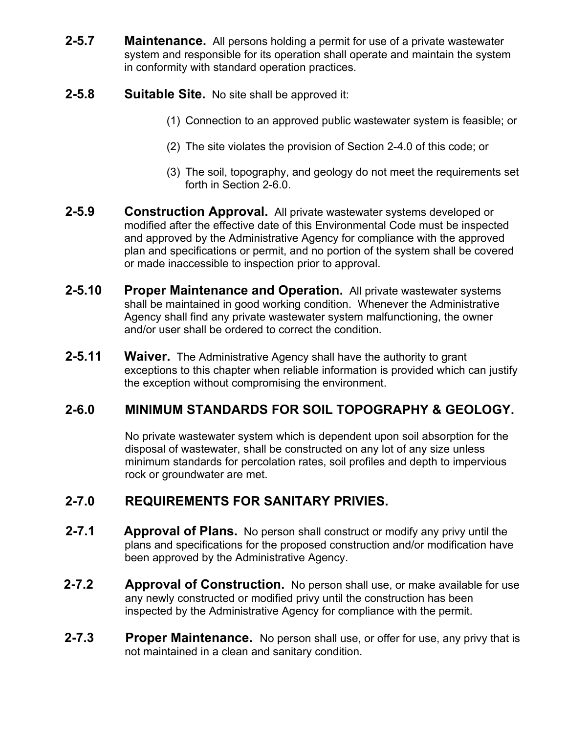- **2-5.7 Maintenance.** All persons holding a permit for use of a private wastewater system and responsible for its operation shall operate and maintain the system in conformity with standard operation practices.
- **2-5.8 Suitable Site.** No site shall be approved it:
	- (1) Connection to an approved public wastewater system is feasible; or
	- (2) The site violates the provision of Section 2-4.0 of this code; or
	- (3) The soil, topography, and geology do not meet the requirements set forth in Section 2-6.0.
- **2-5.9 Construction Approval.** All private wastewater systems developed or modified after the effective date of this Environmental Code must be inspected and approved by the Administrative Agency for compliance with the approved plan and specifications or permit, and no portion of the system shall be covered or made inaccessible to inspection prior to approval.
- **2-5.10 Proper Maintenance and Operation.** All private wastewater systems shall be maintained in good working condition. Whenever the Administrative Agency shall find any private wastewater system malfunctioning, the owner and/or user shall be ordered to correct the condition.
- **2-5.11 Waiver.** The Administrative Agency shall have the authority to grant exceptions to this chapter when reliable information is provided which can justify the exception without compromising the environment.

## **2-6.0 MINIMUM STANDARDS FOR SOIL TOPOGRAPHY & GEOLOGY.**

No private wastewater system which is dependent upon soil absorption for the disposal of wastewater, shall be constructed on any lot of any size unless minimum standards for percolation rates, soil profiles and depth to impervious rock or groundwater are met.

#### **2-7.0 REQUIREMENTS FOR SANITARY PRIVIES.**

- **2-7.1 Approval of Plans.** No person shall construct or modify any privy until the plans and specifications for the proposed construction and/or modification have been approved by the Administrative Agency.
- **2-7.2 Approval of Construction.** No person shall use, or make available for use any newly constructed or modified privy until the construction has been inspected by the Administrative Agency for compliance with the permit.
- **2-7.3 Proper Maintenance.** No person shall use, or offer for use, any privy that is not maintained in a clean and sanitary condition.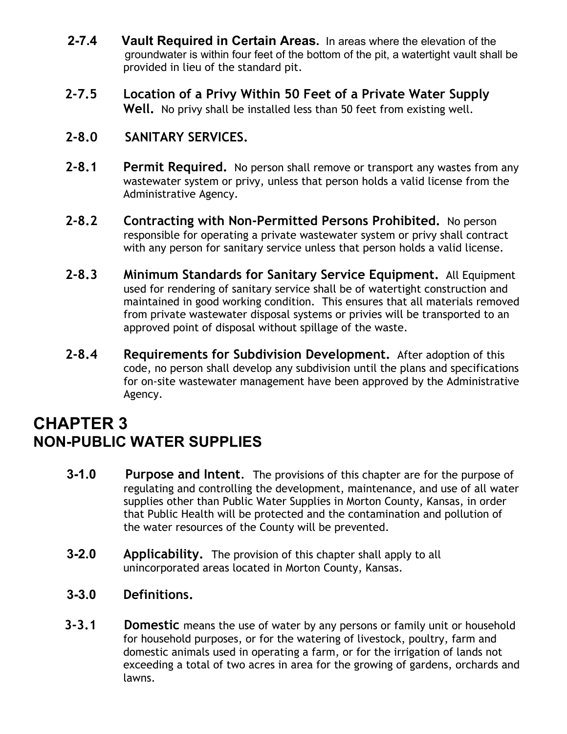- **2-7.4 Vault Required in Certain Areas.** In areas where the elevation of the groundwater is within four feet of the bottom of the pit, a watertight vault shall be provided in lieu of the standard pit.
- **2-7.5 Location of a Privy Within 50 Feet of a Private Water Supply Well.** No privy shall be installed less than 50 feet from existing well.

#### **2-8.0 SANITARY SERVICES.**

- **2-8.1 Permit Required.** No person shall remove or transport any wastes from any wastewater system or privy, unless that person holds a valid license from the Administrative Agency.
- **2-8.2 Contracting with Non-Permitted Persons Prohibited.** No person responsible for operating a private wastewater system or privy shall contract with any person for sanitary service unless that person holds a valid license.
- **2-8.3 Minimum Standards for Sanitary Service Equipment.** All Equipment used for rendering of sanitary service shall be of watertight construction and maintained in good working condition. This ensures that all materials removed from private wastewater disposal systems or privies will be transported to an approved point of disposal without spillage of the waste.
- **2-8.4 Requirements for Subdivision Development.** After adoption of this code, no person shall develop any subdivision until the plans and specifications for on-site wastewater management have been approved by the Administrative Agency.

## **CHAPTER 3 NON-PUBLIC WATER SUPPLIES**

- **3-1.0 Purpose and Intent**. The provisions of this chapter are for the purpose of regulating and controlling the development, maintenance, and use of all water supplies other than Public Water Supplies in Morton County, Kansas, in order that Public Health will be protected and the contamination and pollution of the water resources of the County will be prevented.
- **3-2.0 Applicability.** The provision of this chapter shall apply to all unincorporated areas located in Morton County, Kansas.
- **3-3.0 Definitions.**
- **3-3.1 Domestic** means the use of water by any persons or family unit or household for household purposes, or for the watering of livestock, poultry, farm and domestic animals used in operating a farm, or for the irrigation of lands not exceeding a total of two acres in area for the growing of gardens, orchards and lawns.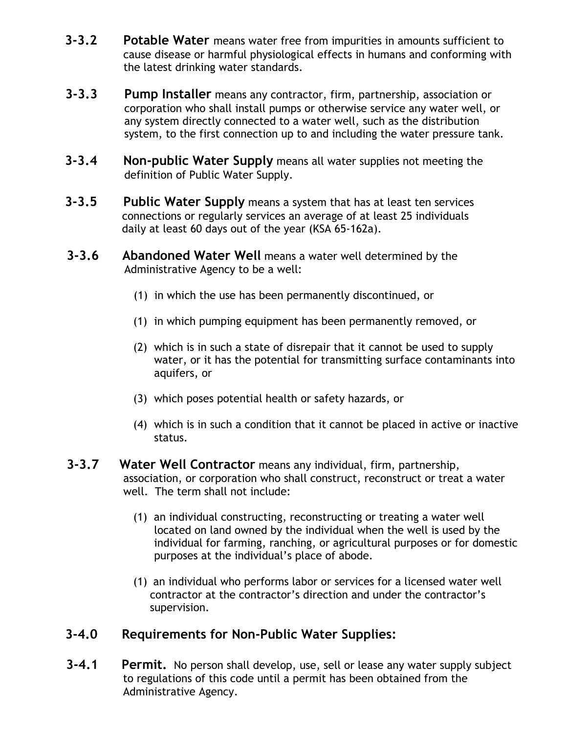- **3-3.2 Potable Water** means water free from impurities in amounts sufficient to cause disease or harmful physiological effects in humans and conforming with the latest drinking water standards.
- **3-3.3 Pump Installer** means any contractor, firm, partnership, association or corporation who shall install pumps or otherwise service any water well, or any system directly connected to a water well, such as the distribution system, to the first connection up to and including the water pressure tank.
- **3-3.4 Non-public Water Supply** means all water supplies not meeting the definition of Public Water Supply.
- **3-3.5 Public Water Supply** means a system that has at least ten services connections or regularly services an average of at least 25 individuals daily at least 60 days out of the year (KSA 65-162a).
- **3-3.6 Abandoned Water Well** means a water well determined by the Administrative Agency to be a well:
	- (1) in which the use has been permanently discontinued, or
	- (1) in which pumping equipment has been permanently removed, or
	- (2) which is in such a state of disrepair that it cannot be used to supply water, or it has the potential for transmitting surface contaminants into aquifers, or
	- (3) which poses potential health or safety hazards, or
	- (4) which is in such a condition that it cannot be placed in active or inactive status.
- **3-3.7 Water Well Contractor** means any individual, firm, partnership, association, or corporation who shall construct, reconstruct or treat a water well. The term shall not include:
	- (1) an individual constructing, reconstructing or treating a water well located on land owned by the individual when the well is used by the individual for farming, ranching, or agricultural purposes or for domestic purposes at the individual's place of abode.
	- (1) an individual who performs labor or services for a licensed water well contractor at the contractor's direction and under the contractor's supervision.

#### **3-4.0 Requirements for Non-Public Water Supplies:**

 **3-4.1 Permit.** No person shall develop, use, sell or lease any water supply subject to regulations of this code until a permit has been obtained from the Administrative Agency.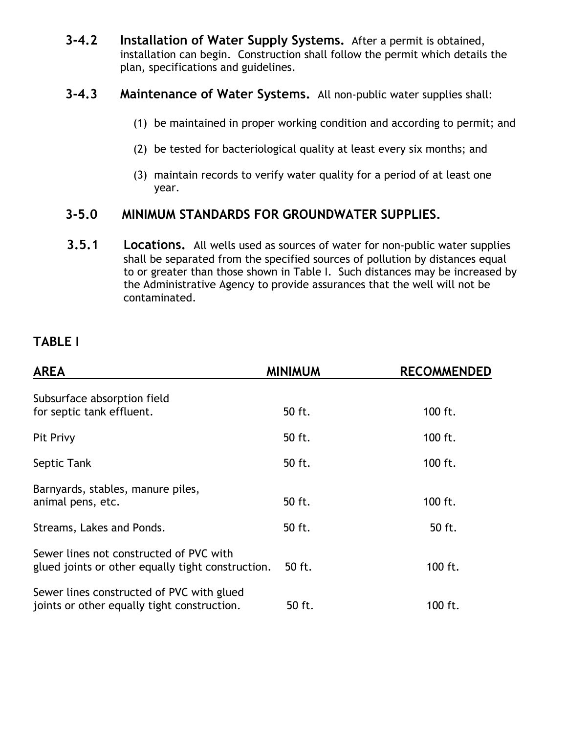- **3-4.2 Installation of Water Supply Systems.** After a permit is obtained, installation can begin. Construction shall follow the permit which details the plan, specifications and guidelines.
- **3-4.3 Maintenance of Water Systems.** All non-public water supplies shall:
	- (1) be maintained in proper working condition and according to permit; and
	- (2) be tested for bacteriological quality at least every six months; and
	- (3) maintain records to verify water quality for a period of at least one year.

#### **3-5.0 MINIMUM STANDARDS FOR GROUNDWATER SUPPLIES.**

**3.5.1 Locations.** All wells used as sources of water for non-public water supplies shall be separated from the specified sources of pollution by distances equal to or greater than those shown in Table I. Such distances may be increased by the Administrative Agency to provide assurances that the well will not be contaminated.

#### **TABLE I**

| <b>AREA</b>                                                                                  | <b>MINIMUM</b> | <b>RECOMMENDED</b> |
|----------------------------------------------------------------------------------------------|----------------|--------------------|
| Subsurface absorption field<br>for septic tank effluent.                                     | 50 ft.         | 100 ft.            |
| Pit Privy                                                                                    | 50 ft.         | 100 ft.            |
| Septic Tank                                                                                  | 50 ft.         | 100 ft.            |
| Barnyards, stables, manure piles,<br>animal pens, etc.                                       | 50 ft.         | 100 ft.            |
| Streams, Lakes and Ponds.                                                                    | 50 ft.         | 50 ft.             |
| Sewer lines not constructed of PVC with<br>glued joints or other equally tight construction. | 50 ft.         | 100 ft.            |
| Sewer lines constructed of PVC with glued<br>joints or other equally tight construction.     | 50 ft.         | 100 ft.            |